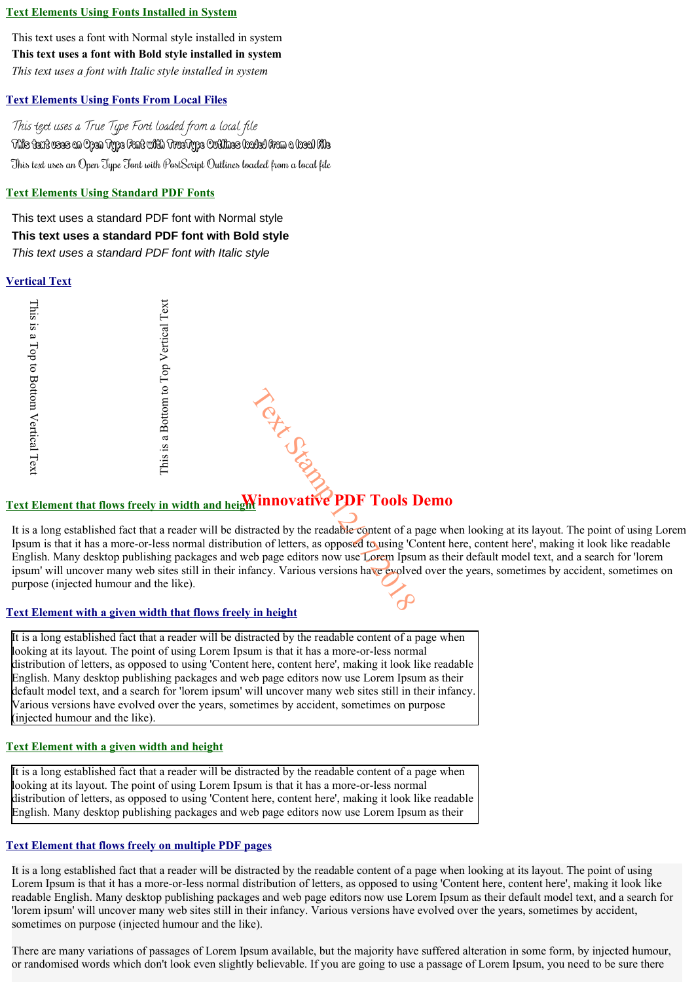## **Text Elements Using Fonts Installed in System**

This text uses a font with Normal style installed in system **This text uses a font with Bold style installed in system** *This text uses a font with Italic style installed in system*

### **Text Elements Using Fonts From Local Files**

This text uses a True Type Font loaded from a local file This text uses an Open Type Font with TrueType Outlines loaded from a local file This text uses an Open Type Font with PostScript Outlines loaded from a local file

#### **Text Elements Using Standard PDF Fonts**

This text uses a standard PDF font with Normal style **This text uses a standard PDF font with Bold style** This text uses a standard PDF font with Italic style

### **Vertical Text**



# **Text Element that flows freely in width and height Winnovative PDF Tools Demo**

It is a long established fact that a reader will be distracted by the readable content of a page when looking at its layout. The point of using Lorem Ipsum is that it has a more-or-less normal distribution of letters, as opposed to using 'Content here, content here', making it look like readable English. Many desktop publishing packages and web page editors now use Lorem Ipsum as their default model text, and a search for 'lorem ipsum' will uncover many web sites still in their infancy. Various versions have evolved over the years, sometimes by accident, sometimes on purpose (injected humour and the like).

### **Text Element with a given width that flows freely in height**

It is a long established fact that a reader will be distracted by the readable content of a page when looking at its layout. The point of using Lorem Ipsum is that it has a more-or-less normal distribution of letters, as opposed to using 'Content here, content here', making it look like readable English. Many desktop publishing packages and web page editors now use Lorem Ipsum as their default model text, and a search for 'lorem ipsum' will uncover many web sites still in their infancy. Various versions have evolved over the years, sometimes by accident, sometimes on purpose (injected humour and the like).

## **Text Element with a given width and height**

It is a long established fact that a reader will be distracted by the readable content of a page when looking at its layout. The point of using Lorem Ipsum is that it has a more-or-less normal distribution of letters, as opposed to using 'Content here, content here', making it look like readable English. Many desktop publishing packages and web page editors now use Lorem Ipsum as their

### **Text Element that flows freely on multiple PDF pages**

It is a long established fact that a reader will be distracted by the readable content of a page when looking at its layout. The point of using Lorem Ipsum is that it has a more-or-less normal distribution of letters, as opposed to using 'Content here, content here', making it look like readable English. Many desktop publishing packages and web page editors now use Lorem Ipsum as their default model text, and a search for 'lorem ipsum' will uncover many web sites still in their infancy. Various versions have evolved over the years, sometimes by accident, sometimes on purpose (injected humour and the like).

There are many variations of passages of Lorem Ipsum available, but the majority have suffered alteration in some form, by injected humour, or randomised words which don't look even slightly believable. If you are going to use a passage of Lorem Ipsum, you need to be sure there